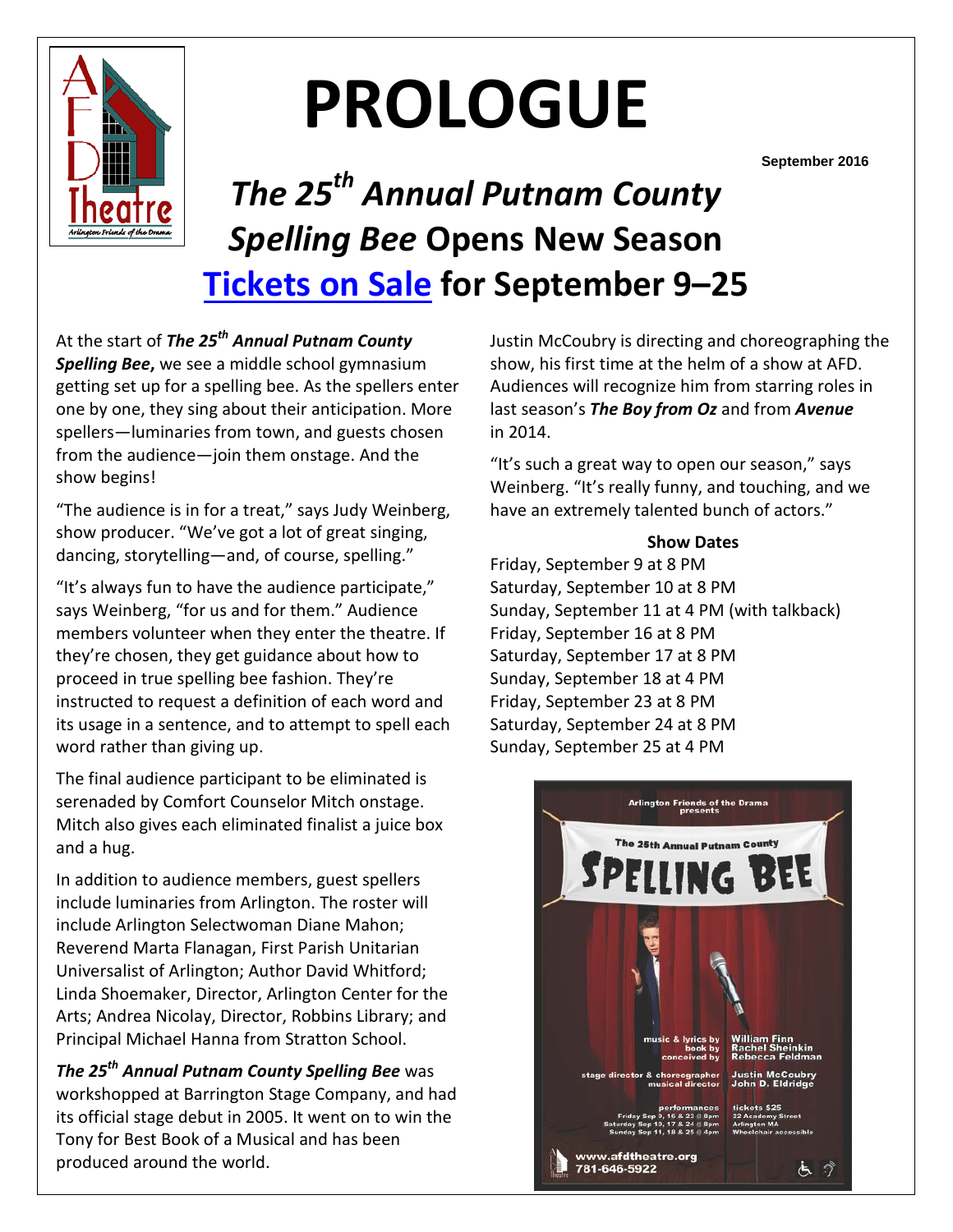

# **PROLOGUE**

**September 2016**

# *The 25th Annual Putnam County Spelling Bee* **Opens New Season [Tickets on Sale](http://www.afdtheatre.org/#!buy-tickets/c6v5) for September 9–25**

At the start of *The 25th Annual Putnam County Spelling Bee***,** we see a middle school gymnasium getting set up for a spelling bee. As the spellers enter one by one, they sing about their anticipation. More spellers—luminaries from town, and guests chosen from the audience—join them onstage. And the show begins!

"The audience is in for a treat," says Judy Weinberg, show producer. "We've got a lot of great singing, dancing, storytelling—and, of course, spelling."

"It's always fun to have the audience participate," says Weinberg, "for us and for them." Audience members volunteer when they enter the theatre. If they're chosen, they get guidance about how to proceed in true spelling bee fashion. They're instructed to request a definition of each word and its usage in a sentence, and to attempt to spell each word rather than giving up.

The final audience participant to be eliminated is serenaded by Comfort Counselor Mitch onstage. Mitch also gives each eliminated finalist a juice box and a hug.

In addition to audience members, guest spellers include luminaries from Arlington. The roster will include Arlington Selectwoman Diane Mahon; Reverend Marta Flanagan, First Parish Unitarian Universalist of Arlington; Author David Whitford; Linda Shoemaker, Director, Arlington Center for the Arts; Andrea Nicolay, Director, Robbins Library; and Principal Michael Hanna from Stratton School.

*The 25th Annual Putnam County Spelling Bee* was workshopped at Barrington Stage Company, and had its official stage debut in 2005. It went on to win the Tony for Best Book of a Musical and has been produced around the world.

Justin McCoubry is directing and choreographing the show, his first time at the helm of a show at AFD. Audiences will recognize him from starring roles in last season's *The Boy from Oz* and from *Avenue*  in 2014.

"It's such a great way to open our season," says Weinberg. "It's really funny, and touching, and we have an extremely talented bunch of actors."

### **Show Dates**

Friday, September 9 at 8 PM Saturday, September 10 at 8 PM Sunday, September 11 at 4 PM (with talkback) Friday, September 16 at 8 PM Saturday, September 17 at 8 PM Sunday, September 18 at 4 PM Friday, September 23 at 8 PM Saturday, September 24 at 8 PM Sunday, September 25 at 4 PM

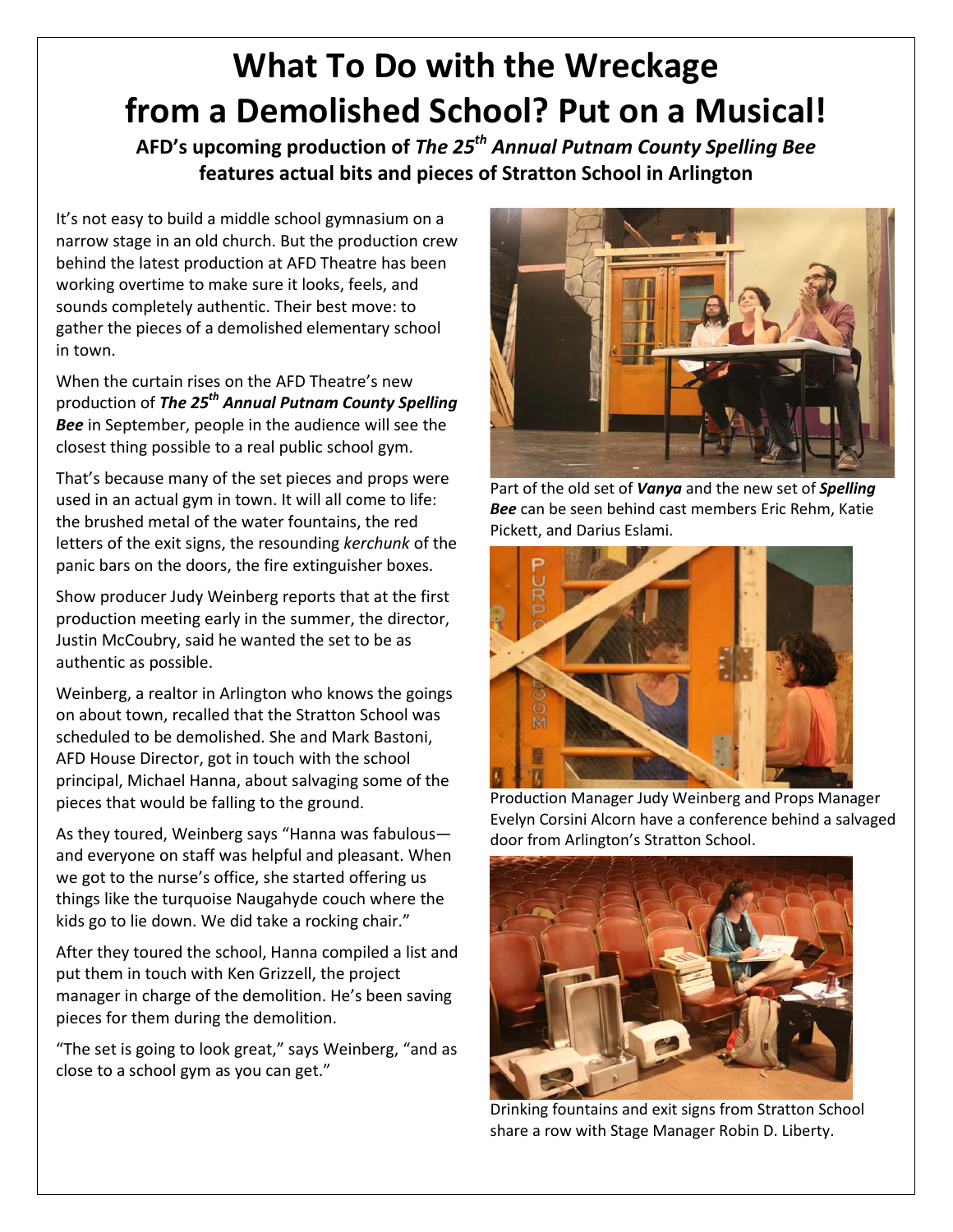# **What To Do with the Wreckage from a Demolished School? Put on a Musical!**

**AFD's upcoming production of** *The 25th Annual Putnam County Spelling Bee* **features actual bits and pieces of Stratton School in Arlington**

It's not easy to build a middle school gymnasium on a narrow stage in an old church. But the production crew behind the latest production at AFD Theatre has been working overtime to make sure it looks, feels, and sounds completely authentic. Their best move: to gather the pieces of a demolished elementary school in town.

When the curtain rises on the AFD Theatre's new production of *The 25th Annual Putnam County Spelling Bee* in September, people in the audience will see the closest thing possible to a real public school gym.

That's because many of the set pieces and props were used in an actual gym in town. It will all come to life: the brushed metal of the water fountains, the red letters of the exit signs, the resounding *kerchunk* of the panic bars on the doors, the fire extinguisher boxes.

Show producer Judy Weinberg reports that at the first production meeting early in the summer, the director, Justin McCoubry, said he wanted the set to be as authentic as possible.

Weinberg, a realtor in Arlington who knows the goings on about town, recalled that the Stratton School was scheduled to be demolished. She and Mark Bastoni, AFD House Director, got in touch with the school principal, Michael Hanna, about salvaging some of the pieces that would be falling to the ground.

As they toured, Weinberg says "Hanna was fabulous and everyone on staff was helpful and pleasant. When we got to the nurse's office, she started offering us things like the turquoise Naugahyde couch where the kids go to lie down. We did take a rocking chair."

After they toured the school, Hanna compiled a list and put them in touch with Ken Grizzell, the project manager in charge of the demolition. He's been saving pieces for them during the demolition.

"The set is going to look great," says Weinberg, "and as close to a school gym as you can get."



Part of the old set of *Vanya* and the new set of *Spelling Bee* can be seen behind cast members Eric Rehm, Katie Pickett, and Darius Eslami.



Production Manager Judy Weinberg and Props Manager Evelyn Corsini Alcorn have a conference behind a salvaged door from Arlington's Stratton School.



Drinking fountains and exit signs from Stratton School share a row with Stage Manager Robin D. Liberty.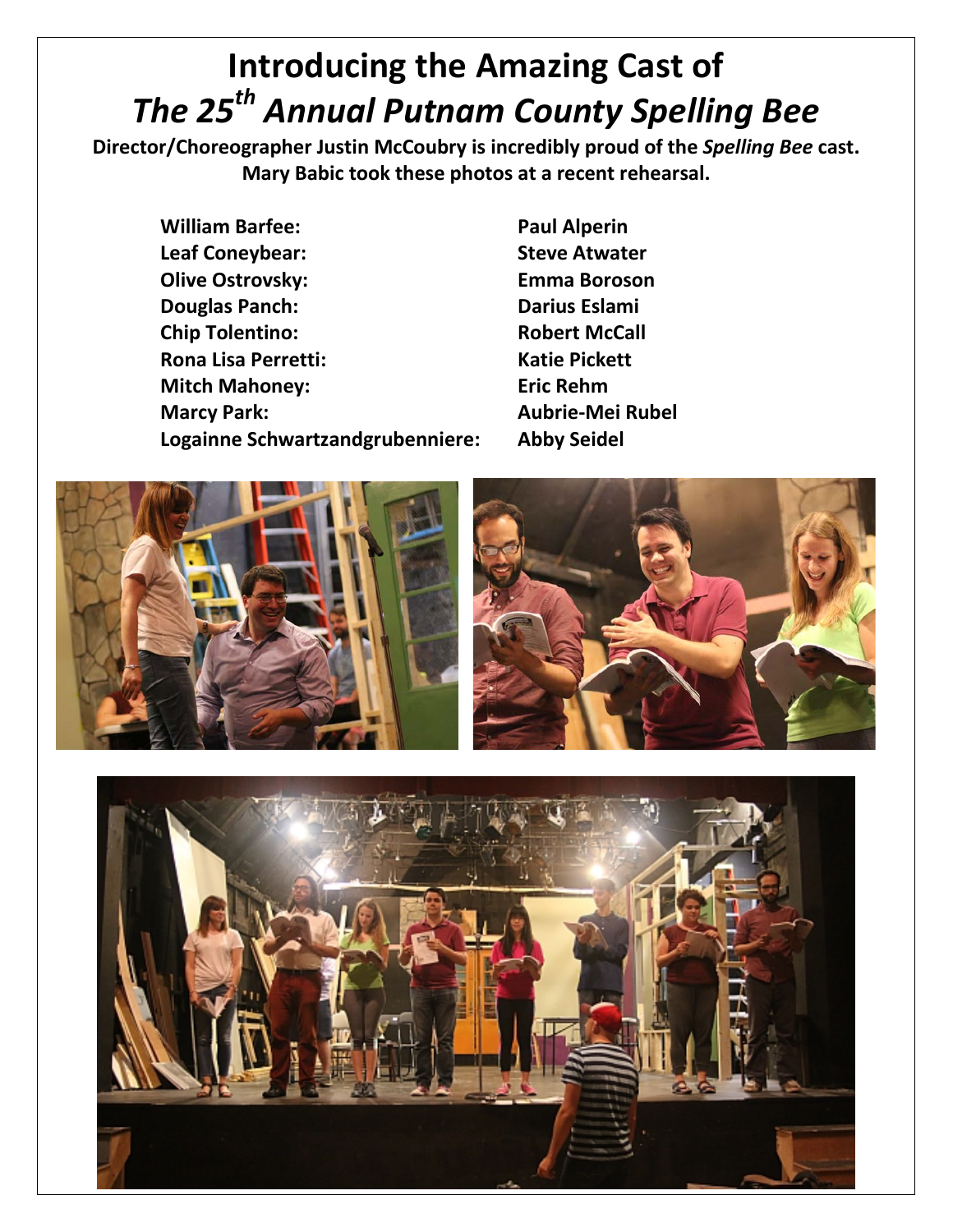# **Introducing the Amazing Cast of** *The 25th Annual Putnam County Spelling Bee*

**Director/Choreographer Justin McCoubry is incredibly proud of the** *Spelling Bee* **cast. Mary Babic took these photos at a recent rehearsal.**

**William Barfee: Paul Alperin Leaf Coneybear: Steve Atwater Olive Ostrovsky: Emma Boroson Douglas Panch: Darius Eslami Chip Tolentino: Robert McCall Rona Lisa Perretti: Katie Pickett Mitch Mahoney: Eric Rehm Marcy Park: Aubrie-Mei Rubel Logainne Schwartzandgrubenniere: Abby Seidel**



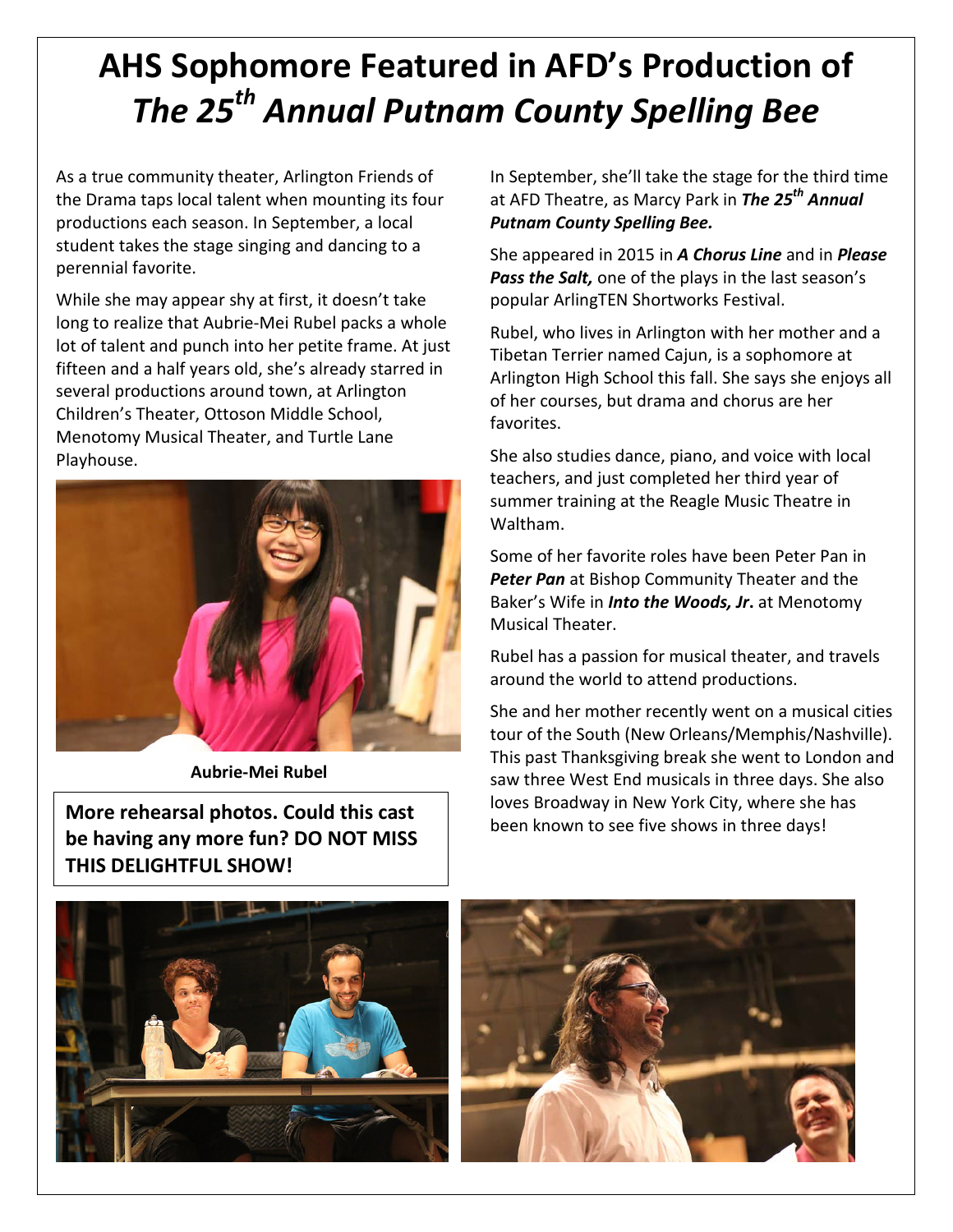# **AHS Sophomore Featured in AFD's Production of** *The 25th Annual Putnam County Spelling Bee*

As a true community theater, Arlington Friends of the Drama taps local talent when mounting its four productions each season. In September, a local student takes the stage singing and dancing to a perennial favorite.

While she may appear shy at first, it doesn't take long to realize that Aubrie-Mei Rubel packs a whole lot of talent and punch into her petite frame. At just fifteen and a half years old, she's already starred in several productions around town, at Arlington Children's Theater, Ottoson Middle School, Menotomy Musical Theater, and Turtle Lane Playhouse.



**Aubrie-Mei Rubel**

**More rehearsal photos. Could this cast be having any more fun? DO NOT MISS THIS DELIGHTFUL SHOW!**

In September, she'll take the stage for the third time at AFD Theatre, as Marcy Park in *The 25th Annual Putnam County Spelling Bee.*

She appeared in 2015 in *A Chorus Line* and in *Please Pass the Salt,* one of the plays in the last season's popular ArlingTEN Shortworks Festival.

Rubel, who lives in Arlington with her mother and a Tibetan Terrier named Cajun, is a sophomore at Arlington High School this fall. She says she enjoys all of her courses, but drama and chorus are her favorites.

She also studies dance, piano, and voice with local teachers, and just completed her third year of summer training at the Reagle Music Theatre in Waltham.

Some of her favorite roles have been Peter Pan in *Peter Pan* at Bishop Community Theater and the Baker's Wife in *Into the Woods, Jr***.** at Menotomy Musical Theater.

Rubel has a passion for musical theater, and travels around the world to attend productions.

She and her mother recently went on a musical cities tour of the South (New Orleans/Memphis/Nashville). This past Thanksgiving break she went to London and saw three West End musicals in three days. She also loves Broadway in New York City, where she has been known to see five shows in three days!

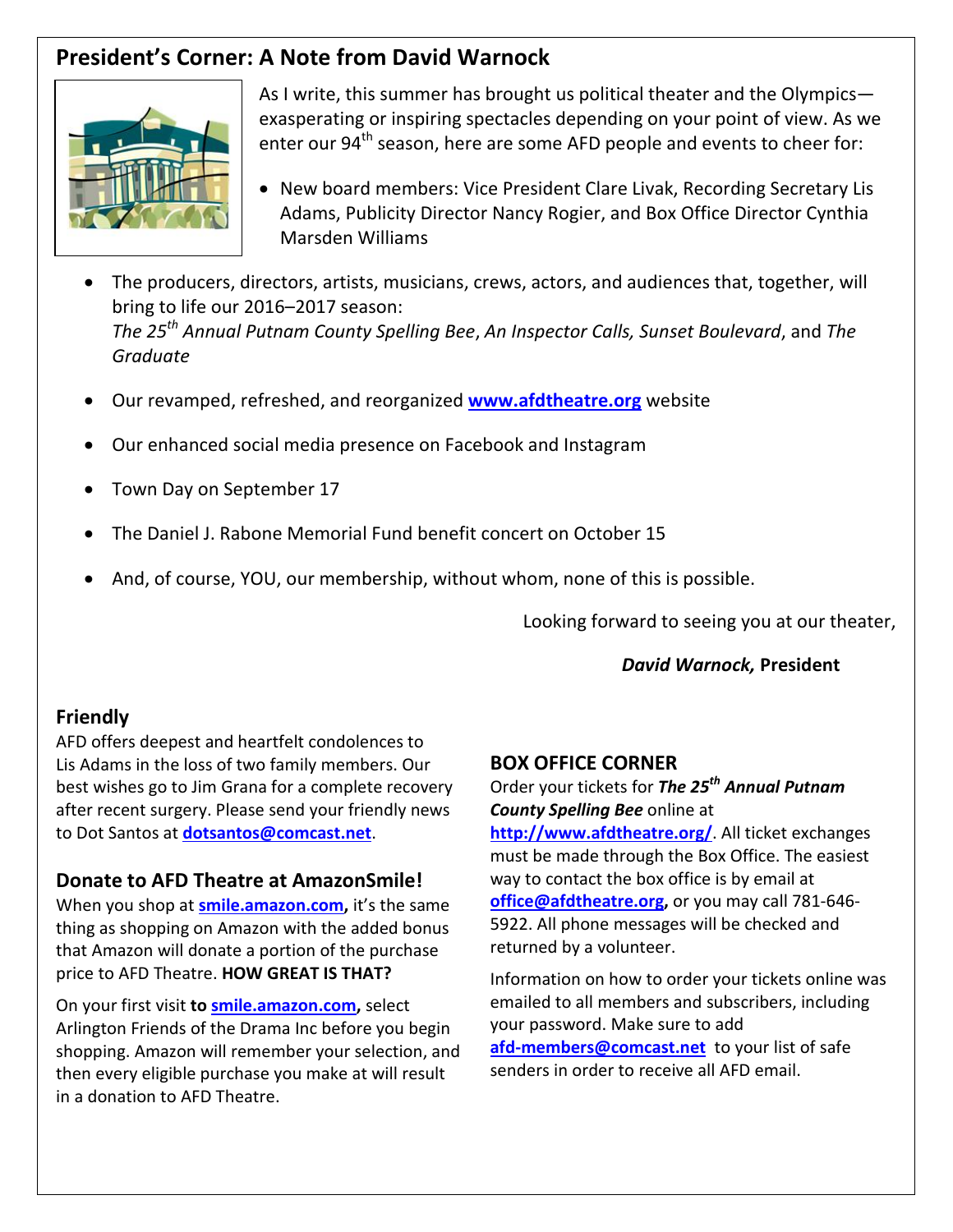# **President's Corner: A Note from David Warnock**



As I write, this summer has brought us political theater and the Olympics exasperating or inspiring spectacles depending on your point of view. As we enter our  $94<sup>th</sup>$  season, here are some AFD people and events to cheer for:

- New board members: Vice President Clare Livak, Recording Secretary Lis Adams, Publicity Director Nancy Rogier, and Box Office Director Cynthia Marsden Williams
- The producers, directors, artists, musicians, crews, actors, and audiences that, together, will bring to life our 2016–2017 season: *The 25th Annual Putnam County Spelling Bee*, *An Inspector Calls, Sunset Boulevard*, and *The Graduate*
- Our revamped, refreshed, and reorganized **[www.afdtheatre.org](http://www.afdtheatre.org/)** website
- Our enhanced social media presence on Facebook and Instagram
- Town Day on September 17
- The Daniel J. Rabone Memorial Fund benefit concert on October 15
- And, of course, YOU, our membership, without whom, none of this is possible.

Looking forward to seeing you at our theater,

### *David Warnock,* **President**

### **Friendly**

AFD offers deepest and heartfelt condolences to Lis Adams in the loss of two family members. Our best wishes go to Jim Grana for a complete recovery after recent surgery. Please send your friendly news to Dot Santos at **[dotsantos@comcast.net](mailto:dotsantos@comcast.net)**.

### **Donate to AFD Theatre at AmazonSmile!**

When you shop at **[smile.amazon.com,](https://smile.amazon.com/)** it's the same thing as shopping on Amazon with the added bonus that Amazon will donate a portion of the purchase price to AFD Theatre. **HOW GREAT IS THAT?**

On your first visit **t[o smile.amazon.com,](https://smile.amazon.com/)** select Arlington Friends of the Drama Inc before you begin shopping. Amazon will remember your selection, and then every eligible purchase you make at will result in a donation to AFD Theatre.

### **BOX OFFICE CORNER**

Order your tickets for *The 25th Annual Putnam County Spelling Bee* online at

**<http://www.afdtheatre.org/>**. All ticket exchanges must be made through the Box Office. The easiest way to contact the box office is by email at **office@afdtheatre.org,** or you may call 781-646- 5922. All phone messages will be checked and returned by a volunteer.

Information on how to order your tickets online was emailed to all members and subscribers, including your password. Make sure to add **[afd-members@comcast.net](mailto:afd-members@comcast.net)** to your list of safe senders in order to receive all AFD email.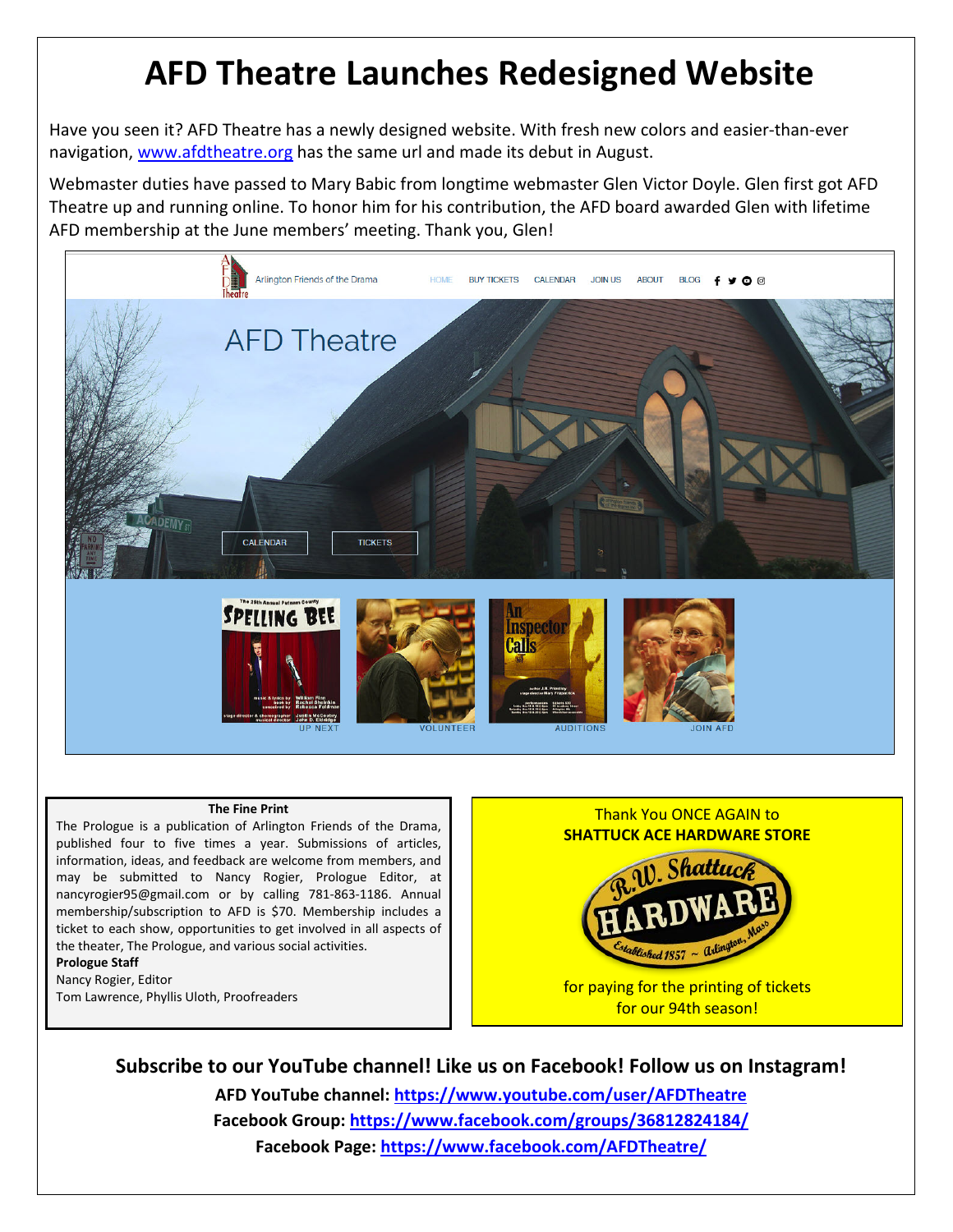# **AFD Theatre Launches Redesigned Website**

Have you seen it? AFD Theatre has a newly designed website. With fresh new colors and easier-than-ever navigation, [www.afdtheatre.org](http://www.afdtheatre.org/) has the same url and made its debut in August.

Webmaster duties have passed to Mary Babic from longtime webmaster Glen Victor Doyle. Glen first got AFD Theatre up and running online. To honor him for his contribution, the AFD board awarded Glen with lifetime AFD membership at the June members' meeting. Thank you, Glen!



#### **The Fine Print**

The Prologue is a publication of Arlington Friends of the Drama, published four to five times a year. Submissions of articles, information, ideas, and feedback are welcome from members, and may be submitted to Nancy Rogier, Prologue Editor, at nancyrogier95@gmail.com or by calling 781-863-1186. Annual membership/subscription to AFD is \$70. Membership includes a ticket to each show, opportunities to get involved in all aspects of the theater, The Prologue, and various social activities.

**Prologue Staff** Nancy Rogier, Editor

Tom Lawrence, Phyllis Uloth, Proofreaders



**Subscribe to our YouTube channel! Like us on Facebook! Follow us on Instagram! AFD YouTube channel: <https://www.youtube.com/user/AFDTheatre> Facebook Group:<https://www.facebook.com/groups/36812824184/>**

**Facebook Page:<https://www.facebook.com/AFDTheatre/>**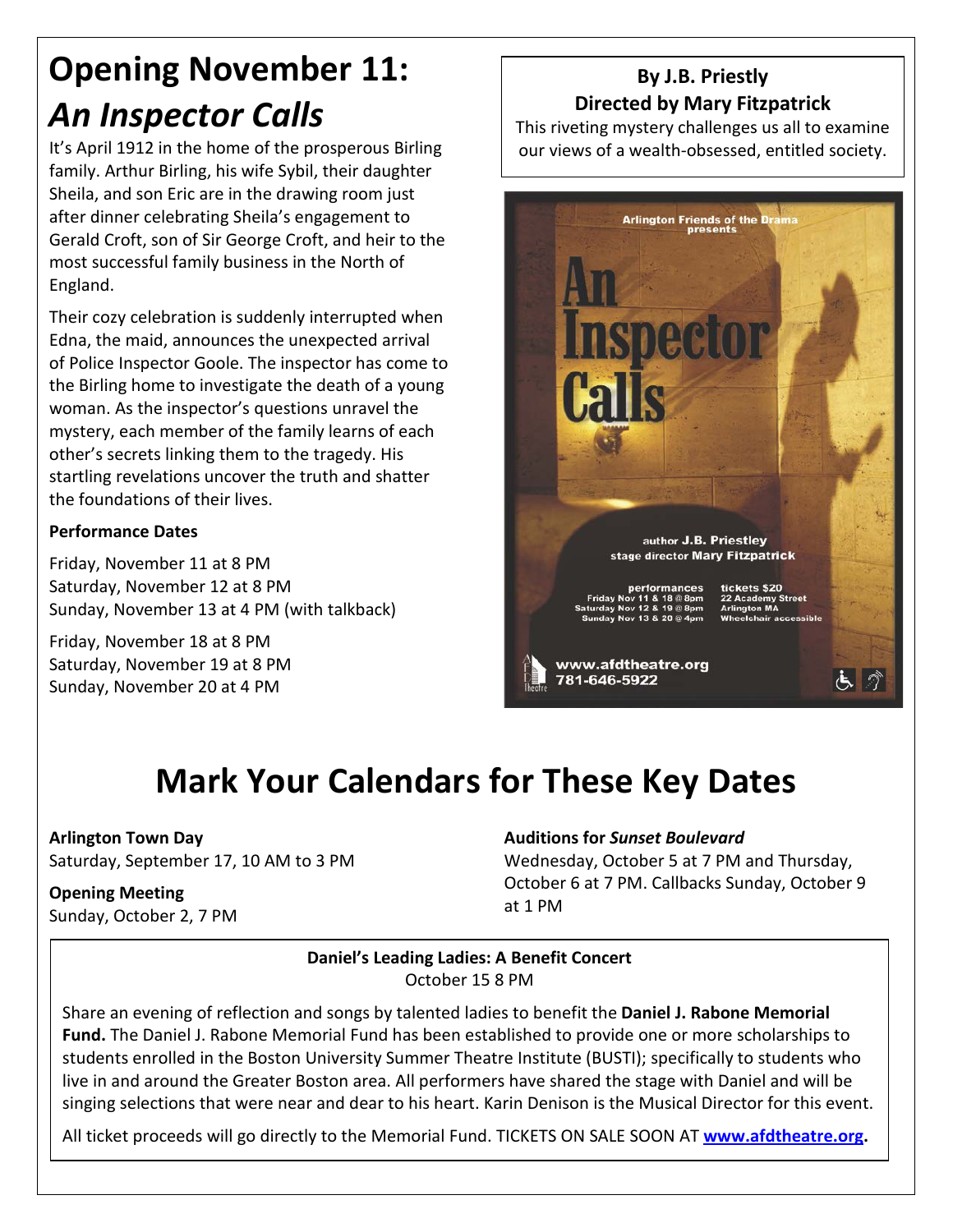# **Opening November 11:** *An Inspector Calls*

It's April 1912 in the home of the prosperous Birling family. Arthur Birling, his wife Sybil, their daughter Sheila, and son Eric are in the drawing room just after dinner celebrating Sheila's engagement to Gerald Croft, son of Sir George Croft, and heir to the most successful family business in the North of England.

Their cozy celebration is suddenly interrupted when Edna, the maid, announces the unexpected arrival of Police Inspector Goole. The inspector has come to the Birling home to investigate the death of a young woman. As the inspector's questions unravel the mystery, each member of the family learns of each other's secrets linking them to the tragedy. His startling revelations uncover the truth and shatter the foundations of their lives.

### **Performance Dates**

Friday, November 11 at 8 PM Saturday, November 12 at 8 PM Sunday, November 13 at 4 PM (with talkback)

Friday, November 18 at 8 PM Saturday, November 19 at 8 PM Sunday, November 20 at 4 PM

# **By J.B. Priestly Directed by Mary Fitzpatrick**

This riveting mystery challenges us all to examine our views of a wealth-obsessed, entitled society.



# **Mark Your Calendars for These Key Dates**

### **Arlington Town Day**

Saturday, September 17, 10 AM to 3 PM

### **Opening Meeting**

Sunday, October 2, 7 PM

### **Auditions for** *Sunset Boulevard*

Wednesday, October 5 at 7 PM and Thursday, October 6 at 7 PM. Callbacks Sunday, October 9 at 1 PM

### **Daniel's Leading Ladies: A Benefit Concert** October 15 8 PM

Share an evening of reflection and songs by talented ladies to benefit the **Daniel J. Rabone Memorial Fund.** The Daniel J. Rabone Memorial Fund has been established to provide one or more scholarships to students enrolled in the Boston University Summer Theatre Institute (BUSTI); specifically to students who live in and around the Greater Boston area. All performers have shared the stage with Daniel and will be singing selections that were near and dear to his heart. Karin Denison is the Musical Director for this event.

All ticket proceeds will go directly to the Memorial Fund. TICKETS ON SALE SOON AT **[www.afdtheatre.org.](http://www.afdtheatre.org/)**